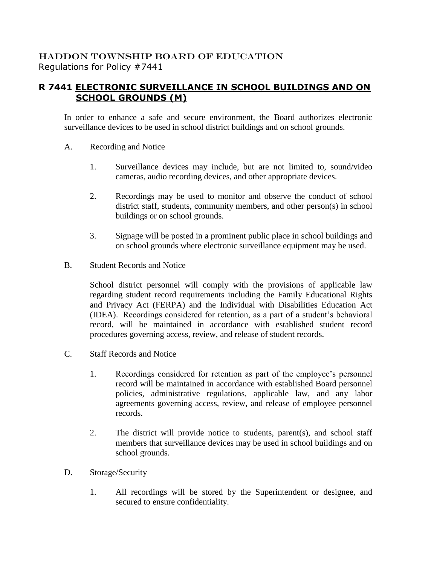## HADDON TOWNSHIP BOARD OF EDUCATION Regulations for Policy #7441

## **R 7441 ELECTRONIC SURVEILLANCE IN SCHOOL BUILDINGS AND ON SCHOOL GROUNDS (M)**

In order to enhance a safe and secure environment, the Board authorizes electronic surveillance devices to be used in school district buildings and on school grounds.

- A. Recording and Notice
	- 1. Surveillance devices may include, but are not limited to, sound/video cameras, audio recording devices, and other appropriate devices.
	- 2. Recordings may be used to monitor and observe the conduct of school district staff, students, community members, and other person(s) in school buildings or on school grounds.
	- 3. Signage will be posted in a prominent public place in school buildings and on school grounds where electronic surveillance equipment may be used.
- B. Student Records and Notice

School district personnel will comply with the provisions of applicable law regarding student record requirements including the Family Educational Rights and Privacy Act (FERPA) and the Individual with Disabilities Education Act (IDEA). Recordings considered for retention, as a part of a student's behavioral record, will be maintained in accordance with established student record procedures governing access, review, and release of student records.

- C. Staff Records and Notice
	- 1. Recordings considered for retention as part of the employee's personnel record will be maintained in accordance with established Board personnel policies, administrative regulations, applicable law, and any labor agreements governing access, review, and release of employee personnel records.
	- 2. The district will provide notice to students, parent(s), and school staff members that surveillance devices may be used in school buildings and on school grounds.
- D. Storage/Security
	- 1. All recordings will be stored by the Superintendent or designee, and secured to ensure confidentiality.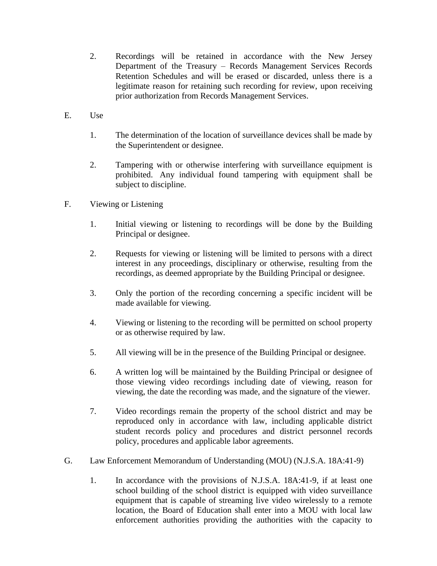- 2. Recordings will be retained in accordance with the New Jersey Department of the Treasury – Records Management Services Records Retention Schedules and will be erased or discarded, unless there is a legitimate reason for retaining such recording for review, upon receiving prior authorization from Records Management Services.
- E. Use
	- 1. The determination of the location of surveillance devices shall be made by the Superintendent or designee.
	- 2. Tampering with or otherwise interfering with surveillance equipment is prohibited. Any individual found tampering with equipment shall be subject to discipline.
- F. Viewing or Listening
	- 1. Initial viewing or listening to recordings will be done by the Building Principal or designee.
	- 2. Requests for viewing or listening will be limited to persons with a direct interest in any proceedings, disciplinary or otherwise, resulting from the recordings, as deemed appropriate by the Building Principal or designee.
	- 3. Only the portion of the recording concerning a specific incident will be made available for viewing.
	- 4. Viewing or listening to the recording will be permitted on school property or as otherwise required by law.
	- 5. All viewing will be in the presence of the Building Principal or designee.
	- 6. A written log will be maintained by the Building Principal or designee of those viewing video recordings including date of viewing, reason for viewing, the date the recording was made, and the signature of the viewer.
	- 7. Video recordings remain the property of the school district and may be reproduced only in accordance with law, including applicable district student records policy and procedures and district personnel records policy, procedures and applicable labor agreements.
- G. Law Enforcement Memorandum of Understanding (MOU) (N.J.S.A. 18A:41-9)
	- 1. In accordance with the provisions of N.J.S.A. 18A:41-9, if at least one school building of the school district is equipped with video surveillance equipment that is capable of streaming live video wirelessly to a remote location, the Board of Education shall enter into a MOU with local law enforcement authorities providing the authorities with the capacity to